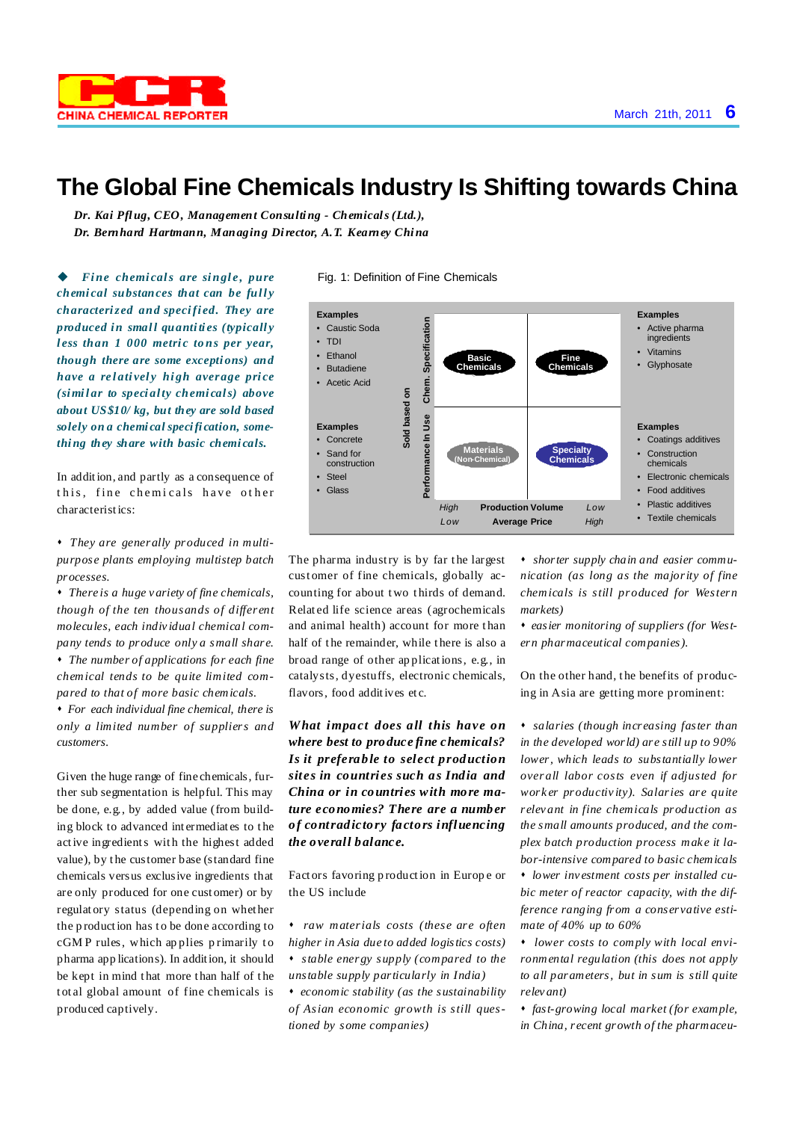

## **The Global Fine Chemicals Industry Is Shifting towards China**

*Dr. Kai Pflug, CEO, Management Consulting - Chemicals(Ltd.), Dr. Bernhard Hartmann, Managing Director, A.T. Kearney China*

u *Fine chemi cals are singl e , pure chemi cal substances that can be full y characterized and specifi ed. They are produced in small quantiti es (typicall y l ess than 1 000 metri c to ns per year, though there are some excepti ons) and have a re l ati vel y hi gh average pri ce (simil ar to speci alty chemi cals) above about US\$10/ kg, but they are sold based solely on a chemi cal specifi cation, something they share with basic chemi cals.*

In addition, and partly as a consequence of this, fine chemicals have other characteristics:

- s *They are generally produced in multipurpose plants employing multistep batch processes.*
- s *There is a huge v ariety of fine chemicals, though of the ten thousands of dif erent molecules, each indiv idual chemical company tends to produce only a small share.* s *The number of applications for each fine chemical tends to be quite limited com-*
- *pared to that of more basic chemicals.* s *For each individual fine chemical, there is only a limited number of suppliers and customers.*

Given the huge range of fine chemicals, further sub segmentation is helpful. This may be done, e.g., by added value (from building block to advanced int ermediat es to t he active ingredients with the highest added value), by t he customer base (standard fine chemicals versus exclusive ingredients that are only produced for one cust omer) or by regulat ory status (depending on whet her the p roduction has t o be done according to cGMP rules, which applies primarily to pharma app lications). In addition, it should be kept in mind that more than half of the t ot al global amount of fine chemicals is produced captively.



The pharma industry is by far the largest cust omer of fine chemicals, globally accounting for about two thirds of demand. Relat ed life science areas (agrochemicals and animal health) account for more than half of the remainder, while there is also a broad range of other ap plications, e.g., in catalysts, dyestuffs, electronic chemicals, flavors, food additives etc.

*What impact does all this have on where best to produce fine chemicals? Is it preferable to select production sites in countries such as India and China or in countries with more mature economies? There are a number of contradictory factors influencing the overall balance.*

Fact ors favoring p roduction in Europ e or the US include

- s *raw materials costs (these are often higher in Asia due to added logistics costs)* s *stable energy supply (compared to the unstable supply particularly in India)*
- s *economic stability (as the sustainability of Asian economic growth is still questioned by some companies)*

s *shorter supply chain and easier communication (as long as the majority of fine chemicals is still produced for Western markets)*

s *easier monitoring of suppliers (for Western pharmaceutical companies).*

On the other hand, t he benefits of producing in Asia are getting more prominent:

s *salaries (though increasing faster than in the developed world) are still up to 90% lower, which leads to substantially lower overall labor costs even if adjusted for work er productiv ity). Salaries are quite relev ant in fine chemicals production as the small amounts produced, and the complex batch production process mak e it labor-intensive compared to basic chemicals* s *lower inv estment costs per installed cubic meter of reactor capacity, with the difference ranging from a conservative estimate of 40% up to 60%*

s *lower costs to comply with local environmental regulation (this does not apply to all parameters, but in sum is still quite relev ant)*

s *fast-growing local market (for example, in China, recent growth of the pharmaceu-*

## Fig. 1: Definition of Fine Chemicals